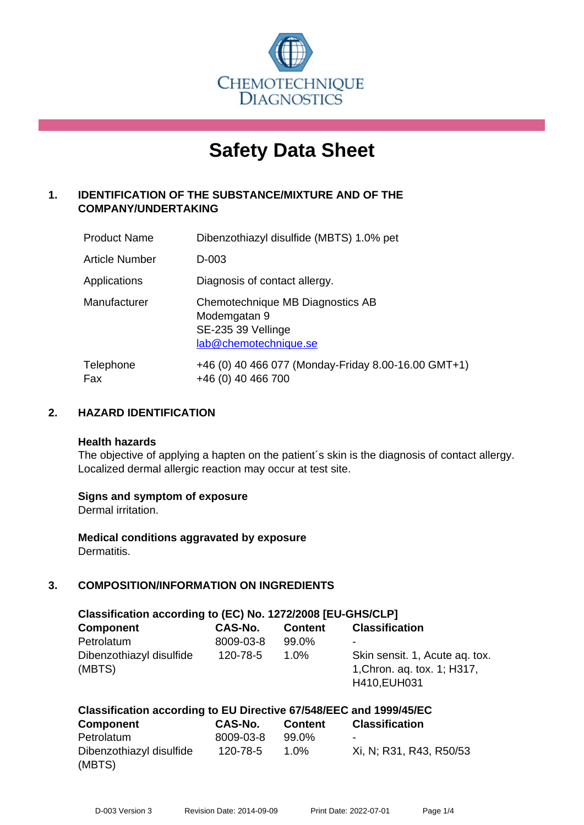

# **Safety Data Sheet**

# **1. IDENTIFICATION OF THE SUBSTANCE/MIXTURE AND OF THE COMPANY/UNDERTAKING**

| <b>Product Name</b> | Dibenzothiazyl disulfide (MBTS) 1.0% pet                                                        |
|---------------------|-------------------------------------------------------------------------------------------------|
| Article Number      | D-003                                                                                           |
| Applications        | Diagnosis of contact allergy.                                                                   |
| Manufacturer        | Chemotechnique MB Diagnostics AB<br>Modemgatan 9<br>SE-235 39 Vellinge<br>lab@chemotechnique.se |
| Telephone<br>Fax    | +46 (0) 40 466 077 (Monday-Friday 8.00-16.00 GMT+1)<br>+46 (0) 40 466 700                       |

#### **2. HAZARD IDENTIFICATION**

#### **Health hazards**

The objective of applying a hapten on the patient's skin is the diagnosis of contact allergy. Localized dermal allergic reaction may occur at test site.

#### **Signs and symptom of exposure**

Dermal irritation.

**Medical conditions aggravated by exposure** Dermatitis.

# **3. COMPOSITION/INFORMATION ON INGREDIENTS**

| Classification according to (EC) No. 1272/2008 [EU-GHS/CLP] |           |                |                                                                               |  |
|-------------------------------------------------------------|-----------|----------------|-------------------------------------------------------------------------------|--|
| <b>Component</b>                                            | CAS-No.   | <b>Content</b> | <b>Classification</b>                                                         |  |
| Petrolatum                                                  | 8009-03-8 | 99.0%          |                                                                               |  |
| Dibenzothiazyl disulfide<br>(MBTS)                          | 120-78-5  | $1.0\%$        | Skin sensit. 1, Acute ag. tox.<br>1, Chron. ag. tox. 1; H317,<br>H410, EUH031 |  |

| Classification according to EU Directive 67/548/EEC and 1999/45/EC |           |                |                         |
|--------------------------------------------------------------------|-----------|----------------|-------------------------|
| <b>Component</b>                                                   | CAS-No.   | <b>Content</b> | <b>Classification</b>   |
| Petrolatum                                                         | 8009-03-8 | 99.0%          |                         |
| Dibenzothiazyl disulfide                                           | 120-78-5  | $1.0\%$        | Xi, N; R31, R43, R50/53 |
| (MBTS)                                                             |           |                |                         |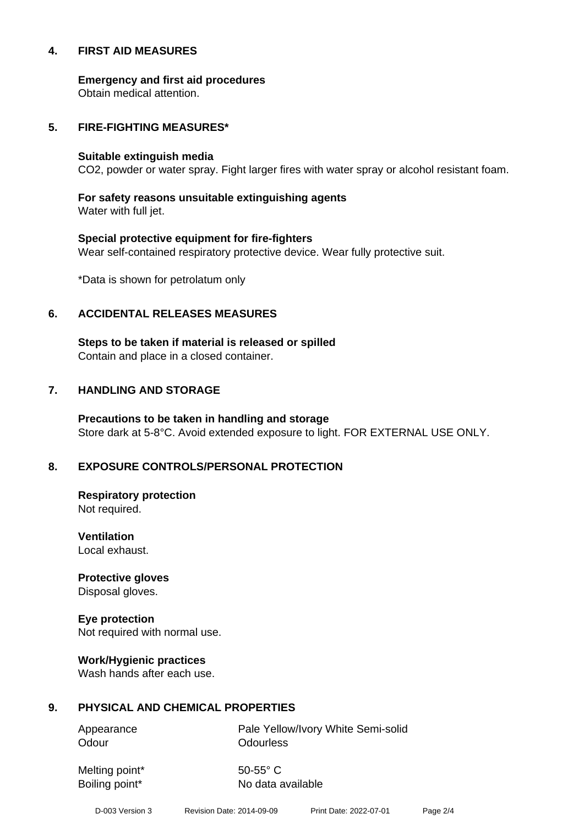#### **4. FIRST AID MEASURES**

**Emergency and first aid procedures**

Obtain medical attention.

#### **5. FIRE-FIGHTING MEASURES\***

#### **Suitable extinguish media**

CO2, powder or water spray. Fight larger fires with water spray or alcohol resistant foam.

# **For safety reasons unsuitable extinguishing agents**

Water with full jet.

# **Special protective equipment for fire-fighters** Wear self-contained respiratory protective device. Wear fully protective suit.

\*Data is shown for petrolatum only

#### **6. ACCIDENTAL RELEASES MEASURES**

**Steps to be taken if material is released or spilled** Contain and place in a closed container.

# **7. HANDLING AND STORAGE**

**Precautions to be taken in handling and storage** Store dark at 5-8°C. Avoid extended exposure to light. FOR EXTERNAL USE ONLY.

# **8. EXPOSURE CONTROLS/PERSONAL PROTECTION**

**Respiratory protection** Not required.

**Ventilation** Local exhaust.

**Protective gloves** Disposal gloves.

# **Eye protection**

Not required with normal use.

#### **Work/Hygienic practices**

Wash hands after each use.

#### **9. PHYSICAL AND CHEMICAL PROPERTIES**

Odour **Odourless** 

Appearance **Pale Yellow/Ivory White Semi-solid** 

Melting point\* 50-55° C

Boiling point\* No data available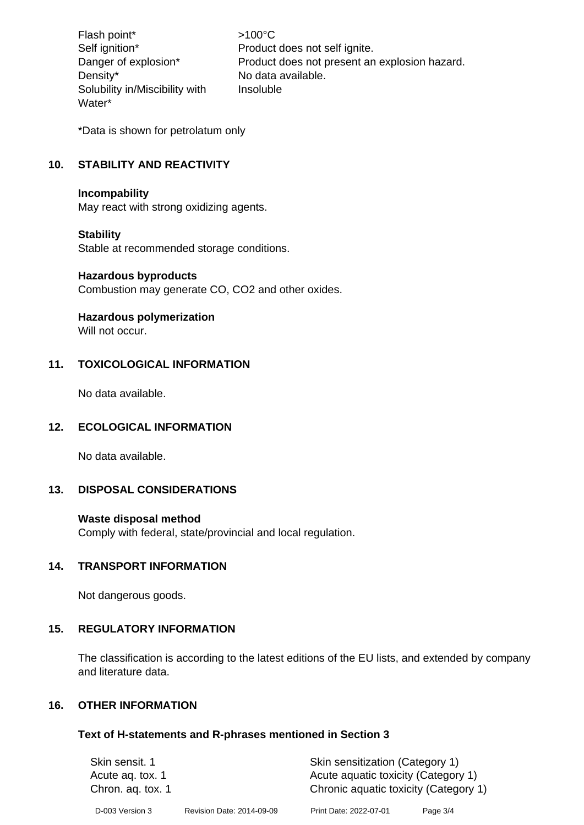Flash point\* >100°C Density\* No data available. Solubility in/Miscibility with Water\*

Self ignition\* Product does not self ignite. Danger of explosion\* Product does not present an explosion hazard. Insoluble

\*Data is shown for petrolatum only

# **10. STABILITY AND REACTIVITY**

#### **Incompability**

May react with strong oxidizing agents.

#### **Stability**

Stable at recommended storage conditions.

#### **Hazardous byproducts**

Combustion may generate CO, CO2 and other oxides.

#### **Hazardous polymerization**

Will not occur.

#### **11. TOXICOLOGICAL INFORMATION**

No data available.

#### **12. ECOLOGICAL INFORMATION**

No data available.

#### **13. DISPOSAL CONSIDERATIONS**

#### **Waste disposal method**

Comply with federal, state/provincial and local regulation.

#### **14. TRANSPORT INFORMATION**

Not dangerous goods.

#### **15. REGULATORY INFORMATION**

The classification is according to the latest editions of the EU lists, and extended by company and literature data.

#### **16. OTHER INFORMATION**

#### **Text of H-statements and R-phrases mentioned in Section 3**

| Skin sensit. 1    |                           | Skin sensitization (Category 1)       |          |  |
|-------------------|---------------------------|---------------------------------------|----------|--|
| Acute ag. tox. 1  |                           | Acute aquatic toxicity (Category 1)   |          |  |
| Chron. ag. tox. 1 |                           | Chronic aquatic toxicity (Category 1) |          |  |
| D-003 Version 3   | Revision Date: 2014-09-09 | Print Date: 2022-07-01                | Page 3/4 |  |